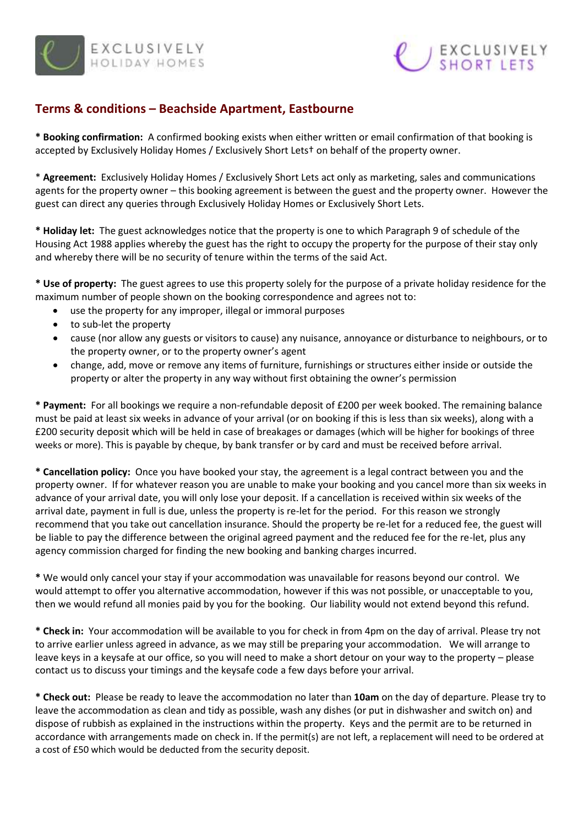



## **Terms & conditions – Beachside Apartment, Eastbourne**

**\* Booking confirmation:** A confirmed booking exists when either written or email confirmation of that booking is accepted by Exclusively Holiday Homes / Exclusively Short Lets† on behalf of the property owner.

\* **Agreement:** Exclusively Holiday Homes / Exclusively Short Lets act only as marketing, sales and communications agents for the property owner – this booking agreement is between the guest and the property owner. However the guest can direct any queries through Exclusively Holiday Homes or Exclusively Short Lets.

**\* Holiday let:** The guest acknowledges notice that the property is one to which Paragraph 9 of schedule of the Housing Act 1988 applies whereby the guest has the right to occupy the property for the purpose of their stay only and whereby there will be no security of tenure within the terms of the said Act.

**\* Use of property:** The guest agrees to use this property solely for the purpose of a private holiday residence for the maximum number of people shown on the booking correspondence and agrees not to:

- use the property for any improper, illegal or immoral purposes
- to sub-let the property
- cause (nor allow any guests or visitors to cause) any nuisance, annoyance or disturbance to neighbours, or to the property owner, or to the property owner's agent
- change, add, move or remove any items of furniture, furnishings or structures either inside or outside the property or alter the property in any way without first obtaining the owner's permission

**\* Payment:** For all bookings we require a non-refundable deposit of £200 per week booked. The remaining balance must be paid at least six weeks in advance of your arrival (or on booking if this is less than six weeks), along with a £200 security deposit which will be held in case of breakages or damages (which will be higher for bookings of three weeks or more). This is payable by cheque, by bank transfer or by card and must be received before arrival.

**\* Cancellation policy:** Once you have booked your stay, the agreement is a legal contract between you and the property owner. If for whatever reason you are unable to make your booking and you cancel more than six weeks in advance of your arrival date, you will only lose your deposit. If a cancellation is received within six weeks of the arrival date, payment in full is due, unless the property is re-let for the period. For this reason we strongly recommend that you take out cancellation insurance. Should the property be re-let for a reduced fee, the guest will be liable to pay the difference between the original agreed payment and the reduced fee for the re-let, plus any agency commission charged for finding the new booking and banking charges incurred.

**\*** We would only cancel your stay if your accommodation was unavailable for reasons beyond our control. We would attempt to offer you alternative accommodation, however if this was not possible, or unacceptable to you, then we would refund all monies paid by you for the booking. Our liability would not extend beyond this refund.

**\* Check in:** Your accommodation will be available to you for check in from 4pm on the day of arrival. Please try not to arrive earlier unless agreed in advance, as we may still be preparing your accommodation. We will arrange to leave keys in a keysafe at our office, so you will need to make a short detour on your way to the property – please contact us to discuss your timings and the keysafe code a few days before your arrival.

**\* Check out:** Please be ready to leave the accommodation no later than **10am** on the day of departure. Please try to leave the accommodation as clean and tidy as possible, wash any dishes (or put in dishwasher and switch on) and dispose of rubbish as explained in the instructions within the property. Keys and the permit are to be returned in accordance with arrangements made on check in. If the permit(s) are not left, a replacement will need to be ordered at a cost of £50 which would be deducted from the security deposit.